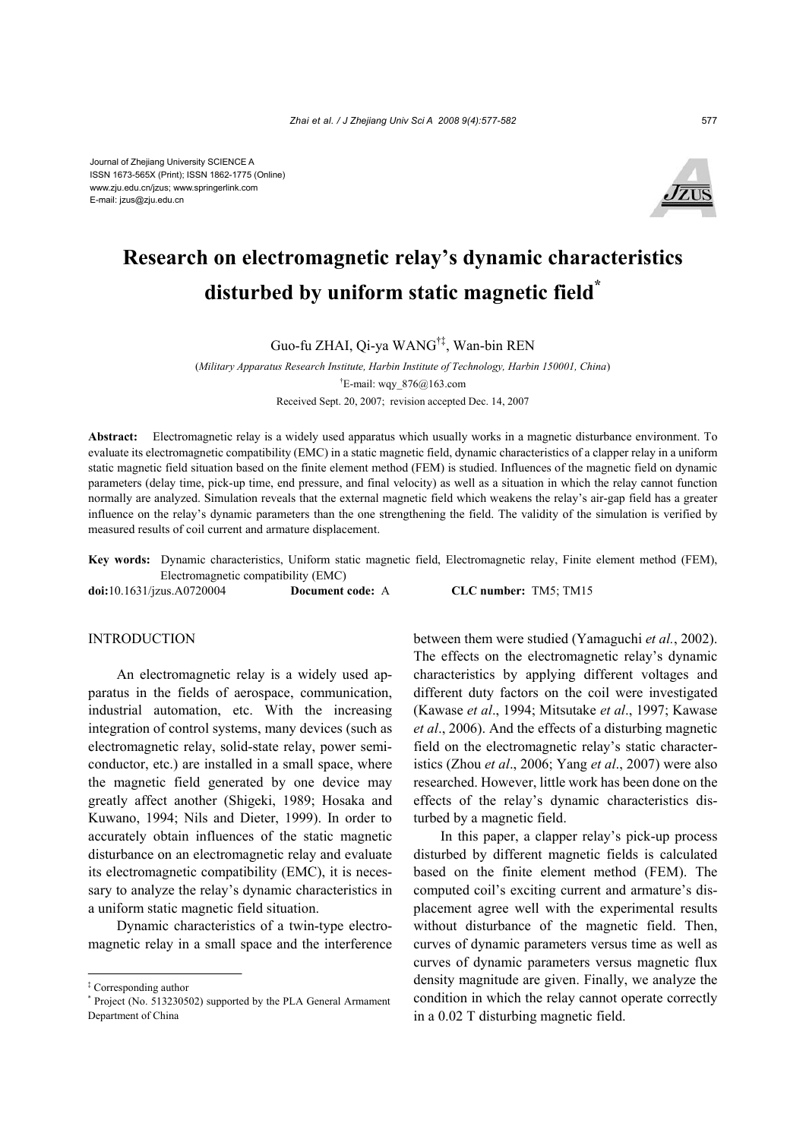

# **Research on electromagnetic relay's dynamic characteristics disturbed by uniform static magnetic field\***

Guo-fu ZHAI, Qi-ya WANG†‡, Wan-bin REN

(*Military Apparatus Research Institute, Harbin Institute of Technology, Harbin 150001, China*) † E-mail: wqy\_876@163.com Received Sept. 20, 2007; revision accepted Dec. 14, 2007

**Abstract:** Electromagnetic relay is a widely used apparatus which usually works in a magnetic disturbance environment. To evaluate its electromagnetic compatibility (EMC) in a static magnetic field, dynamic characteristics of a clapper relay in a uniform static magnetic field situation based on the finite element method (FEM) is studied. Influences of the magnetic field on dynamic parameters (delay time, pick-up time, end pressure, and final velocity) as well as a situation in which the relay cannot function normally are analyzed. Simulation reveals that the external magnetic field which weakens the relay's air-gap field has a greater influence on the relay's dynamic parameters than the one strengthening the field. The validity of the simulation is verified by measured results of coil current and armature displacement.

**Key words:** Dynamic characteristics, Uniform static magnetic field, Electromagnetic relay, Finite element method (FEM), Electromagnetic compatibility (EMC)

**doi:**10.1631/jzus.A0720004 **Document code:** A **CLC number:** TM5; TM15

#### **INTRODUCTION**

An electromagnetic relay is a widely used apparatus in the fields of aerospace, communication, industrial automation, etc. With the increasing integration of control systems, many devices (such as electromagnetic relay, solid-state relay, power semiconductor, etc.) are installed in a small space, where the magnetic field generated by one device may greatly affect another (Shigeki, 1989; Hosaka and Kuwano, 1994; Nils and Dieter, 1999). In order to accurately obtain influences of the static magnetic disturbance on an electromagnetic relay and evaluate its electromagnetic compatibility (EMC), it is necessary to analyze the relay's dynamic characteristics in a uniform static magnetic field situation.

Dynamic characteristics of a twin-type electromagnetic relay in a small space and the interference between them were studied (Yamaguchi *et al.*, 2002). The effects on the electromagnetic relay's dynamic characteristics by applying different voltages and different duty factors on the coil were investigated (Kawase *et al*., 1994; Mitsutake *et al*., 1997; Kawase *et al*., 2006). And the effects of a disturbing magnetic field on the electromagnetic relay's static characteristics (Zhou *et al*., 2006; Yang *et al*., 2007) were also researched. However, little work has been done on the effects of the relay's dynamic characteristics disturbed by a magnetic field.

In this paper, a clapper relay's pick-up process disturbed by different magnetic fields is calculated based on the finite element method (FEM). The computed coil's exciting current and armature's displacement agree well with the experimental results without disturbance of the magnetic field. Then, curves of dynamic parameters versus time as well as curves of dynamic parameters versus magnetic flux density magnitude are given. Finally, we analyze the condition in which the relay cannot operate correctly in a 0.02 T disturbing magnetic field.

<sup>‡</sup> Corresponding author

<sup>\*</sup> Project (No. 513230502) supported by the PLA General Armament Department of China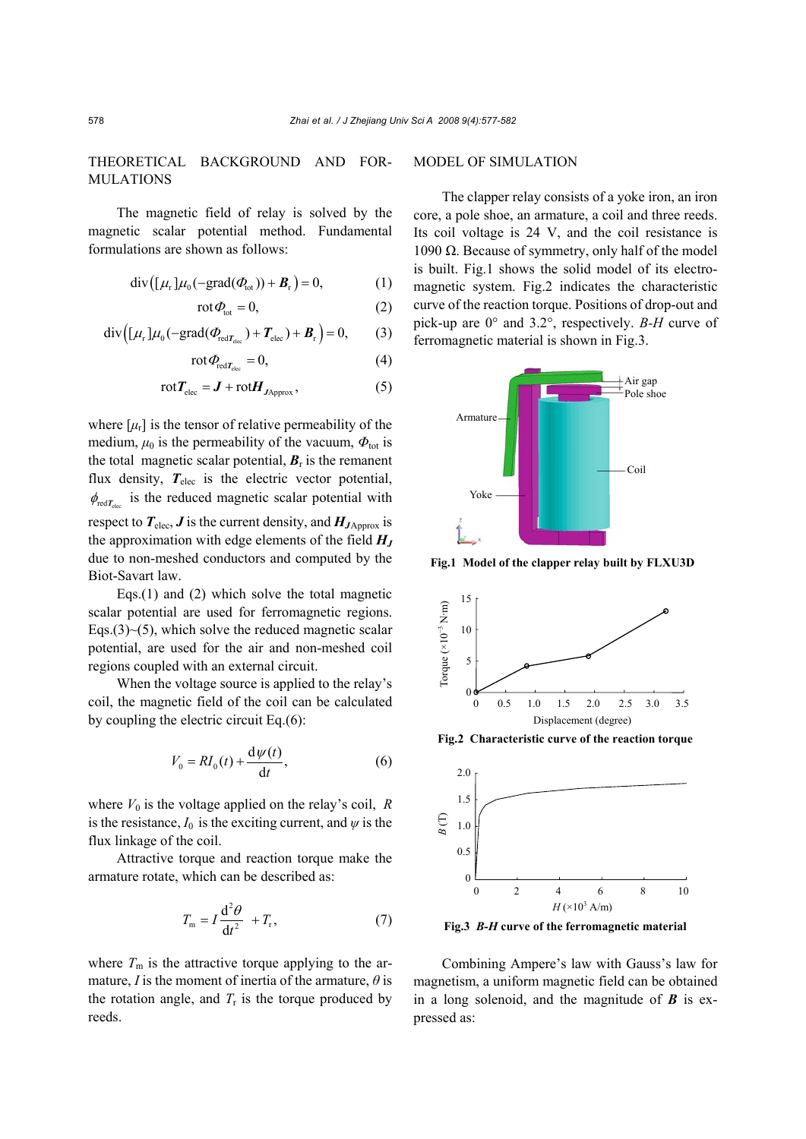# THEORETICAL BACKGROUND AND FOR-MULATIONS

The magnetic field of relay is solved by the magnetic scalar potential method. Fundamental formulations are shown as follows:

$$
\operatorname{div}\left(\left[\mu_r\right]\mu_0\left(-\operatorname{grad}\left(\varPhi_{\text{tot}}\right)\right)+\boldsymbol{B}_r\right)=0,\tag{1}
$$

$$
\operatorname{rot} \varPhi_{\text{tot}} = 0, \tag{2}
$$

$$
\operatorname{div}\left(\left[\mu_r\right]\mu_0\left(-\operatorname{grad}\left(\varPhi_{\operatorname{red}T_{\operatorname{elec}}}\right)+\boldsymbol{T}_{\operatorname{elec}}\right)+\boldsymbol{B}_r\right)=0,\qquad(3)
$$

$$
\operatorname{rot} \varPhi_{\operatorname{red} T_{\operatorname{elec}}} = 0, \tag{4}
$$

$$
rotT_{elec} = J + rotH_{JApprox}, \qquad (5)
$$

where  $[\mu_r]$  is the tensor of relative permeability of the medium,  $\mu_0$  is the permeability of the vacuum,  $\Phi_{\text{tot}}$  is the total magnetic scalar potential,  $B_r$  is the remanent flux density,  $T_{\text{elec}}$  is the electric vector potential,  $\phi_{\text{refT}}$  is the reduced magnetic scalar potential with respect to  $T_{\text{elec}}$ ,  $J$  is the current density, and  $H_{J\text{Approx}}$  is the approximation with edge elements of the field  $H_J$ due to non-meshed conductors and computed by the Biot-Savart law.

Eqs.(1) and (2) which solve the total magnetic scalar potential are used for ferromagnetic regions. Eqs.(3) $\sim$ (5), which solve the reduced magnetic scalar potential, are used for the air and non-meshed coil regions coupled with an external circuit.

When the voltage source is applied to the relay's coil, the magnetic field of the coil can be calculated by coupling the electric circuit Eq.(6):

$$
V_0 = RI_0(t) + \frac{\mathrm{d}\psi(t)}{\mathrm{d}t},\tag{6}
$$

where  $V_0$  is the voltage applied on the relay's coil,  $R$ is the resistance,  $I_0$  is the exciting current, and  $\psi$  is the flux linkage of the coil.

Attractive torque and reaction torque make the armature rotate, which can be described as:

$$
T_{\rm m} = I \frac{d^2 \theta}{dt^2} + T_{\rm r},\tag{7}
$$

where  $T_m$  is the attractive torque applying to the armature, *I* is the moment of inertia of the armature,  $\theta$  is the rotation angle, and  $T_r$  is the torque produced by reeds.

## MODEL OF SIMULATION

The clapper relay consists of a yoke iron, an iron core, a pole shoe, an armature, a coil and three reeds. Its coil voltage is 24 V, and the coil resistance is 1090  $Ω$ . Because of symmetry, only half of the model is built. Fig.1 shows the solid model of its electromagnetic system. Fig.2 indicates the characteristic curve of the reaction torque. Positions of drop-out and pick-up are 0° and 3.2°, respectively. *B-H* curve of ferromagnetic material is shown in Fig.3.



**Fig.1 Model of the clapper relay built by FLXU3D**



**Fig.2 Characteristic curve of the reaction torque**



**Fig.3** *B-H* **curve of the ferromagnetic material**

Combining Ampere's law with Gauss's law for magnetism, a uniform magnetic field can be obtained in a long solenoid, and the magnitude of *B* is expressed as: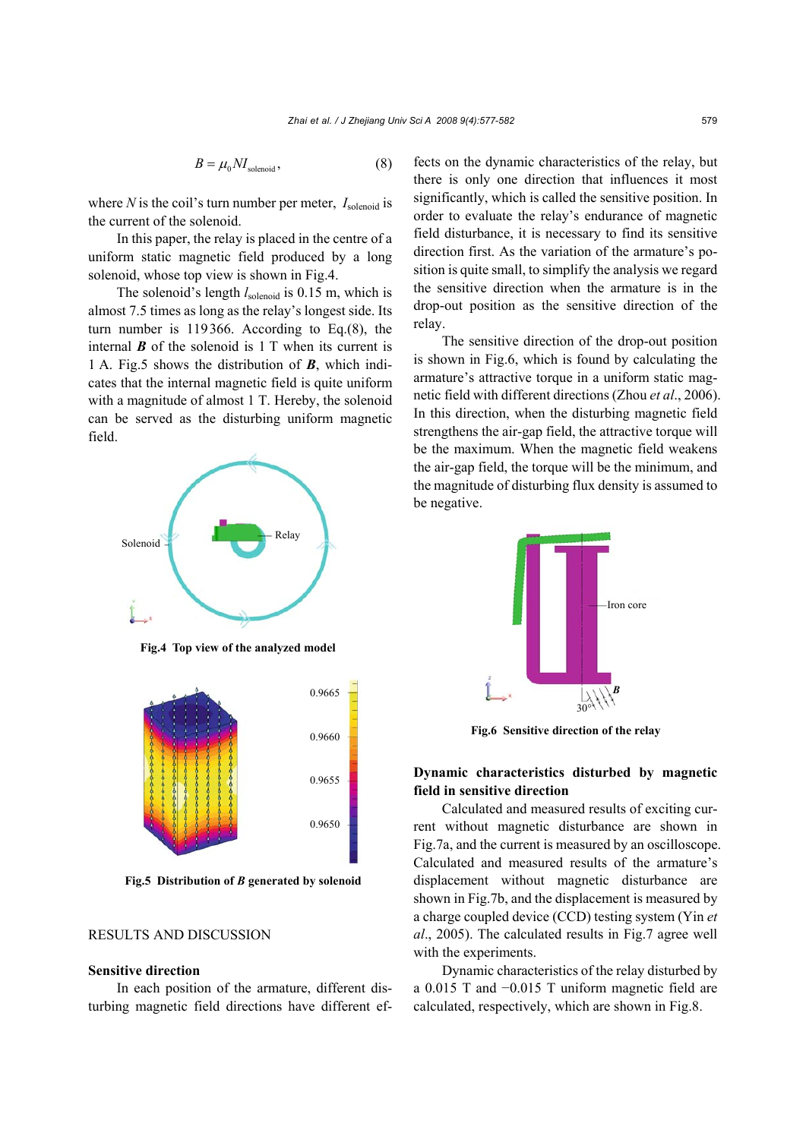$$
B = \mu_0 N I_{\text{solenoid}},\tag{8}
$$

where *N* is the coil's turn number per meter,  $I_{\text{solenoid}}$  is the current of the solenoid.

In this paper, the relay is placed in the centre of a uniform static magnetic field produced by a long solenoid, whose top view is shown in Fig.4.

The solenoid's length  $l_{\text{solenoid}}$  is 0.15 m, which is almost 7.5 times as long as the relay's longest side. Its turn number is 119366. According to Eq.(8), the internal  $\boldsymbol{B}$  of the solenoid is 1 T when its current is 1 A. Fig.5 shows the distribution of *B*, which indicates that the internal magnetic field is quite uniform with a magnitude of almost 1 T. Hereby, the solenoid can be served as the disturbing uniform magnetic field.



**Fig.4 Top view of the analyzed model**



**Fig.5 Distribution of** *B* **generated by solenoid**

## RESULTS AND DISCUSSION

#### **Sensitive direction**

In each position of the armature, different disturbing magnetic field directions have different effects on the dynamic characteristics of the relay, but there is only one direction that influences it most significantly, which is called the sensitive position. In order to evaluate the relay's endurance of magnetic field disturbance, it is necessary to find its sensitive direction first. As the variation of the armature's position is quite small, to simplify the analysis we regard the sensitive direction when the armature is in the drop-out position as the sensitive direction of the relay.

The sensitive direction of the drop-out position is shown in Fig.6, which is found by calculating the armature's attractive torque in a uniform static magnetic field with different directions (Zhou *et al*., 2006). In this direction, when the disturbing magnetic field strengthens the air-gap field, the attractive torque will be the maximum. When the magnetic field weakens the air-gap field, the torque will be the minimum, and the magnitude of disturbing flux density is assumed to be negative.



**Fig.6 Sensitive direction of the relay** 

# **Dynamic characteristics disturbed by magnetic field in sensitive direction**

Calculated and measured results of exciting current without magnetic disturbance are shown in Fig.7a, and the current is measured by an oscilloscope. Calculated and measured results of the armature's displacement without magnetic disturbance are shown in Fig.7b, and the displacement is measured by a charge coupled device (CCD) testing system (Yin *et al*., 2005). The calculated results in Fig.7 agree well with the experiments.

Dynamic characteristics of the relay disturbed by a 0.015 T and −0.015 T uniform magnetic field are calculated, respectively, which are shown in Fig.8.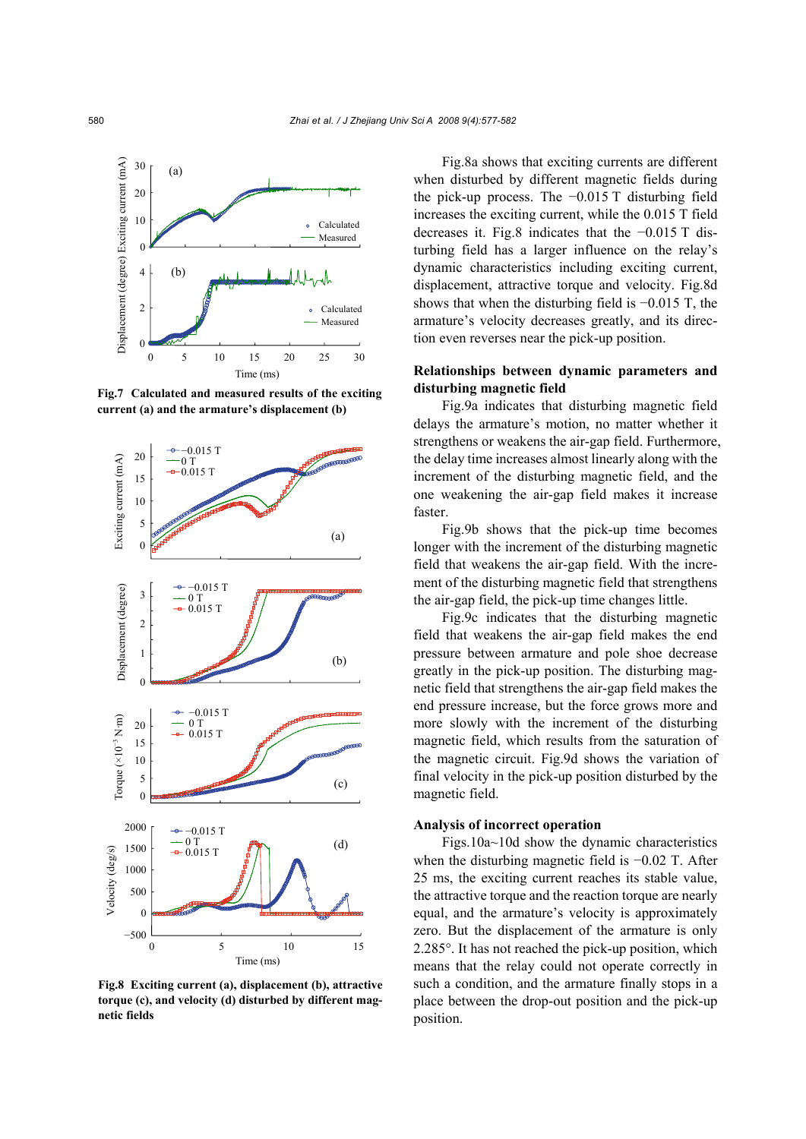

**Fig.7 Calculated and measured results of the exciting current (a) and the armature's displacement (b)**



**Fig.8 Exciting current (a), displacement (b), attractive torque (c), and velocity (d) disturbed by different magnetic fields**

Fig.8a shows that exciting currents are different when disturbed by different magnetic fields during the pick-up process. The −0.015 T disturbing field increases the exciting current, while the 0.015 T field decreases it. Fig.8 indicates that the −0.015 T disturbing field has a larger influence on the relay's dynamic characteristics including exciting current, displacement, attractive torque and velocity. Fig.8d shows that when the disturbing field is −0.015 T, the armature's velocity decreases greatly, and its direction even reverses near the pick-up position.

## **Relationships between dynamic parameters and disturbing magnetic field**

Fig.9a indicates that disturbing magnetic field delays the armature's motion, no matter whether it strengthens or weakens the air-gap field. Furthermore, the delay time increases almost linearly along with the increment of the disturbing magnetic field, and the one weakening the air-gap field makes it increase faster.

Fig.9b shows that the pick-up time becomes longer with the increment of the disturbing magnetic field that weakens the air-gap field. With the increment of the disturbing magnetic field that strengthens the air-gap field, the pick-up time changes little.

Fig.9c indicates that the disturbing magnetic field that weakens the air-gap field makes the end pressure between armature and pole shoe decrease greatly in the pick-up position. The disturbing magnetic field that strengthens the air-gap field makes the end pressure increase, but the force grows more and more slowly with the increment of the disturbing magnetic field, which results from the saturation of the magnetic circuit. Fig.9d shows the variation of final velocity in the pick-up position disturbed by the magnetic field.

## **Analysis of incorrect operation**

Figs.10a~10d show the dynamic characteristics when the disturbing magnetic field is −0.02 T. After 25 ms, the exciting current reaches its stable value, the attractive torque and the reaction torque are nearly equal, and the armature's velocity is approximately zero. But the displacement of the armature is only 2.285°. It has not reached the pick-up position, which means that the relay could not operate correctly in such a condition, and the armature finally stops in a place between the drop-out position and the pick-up position.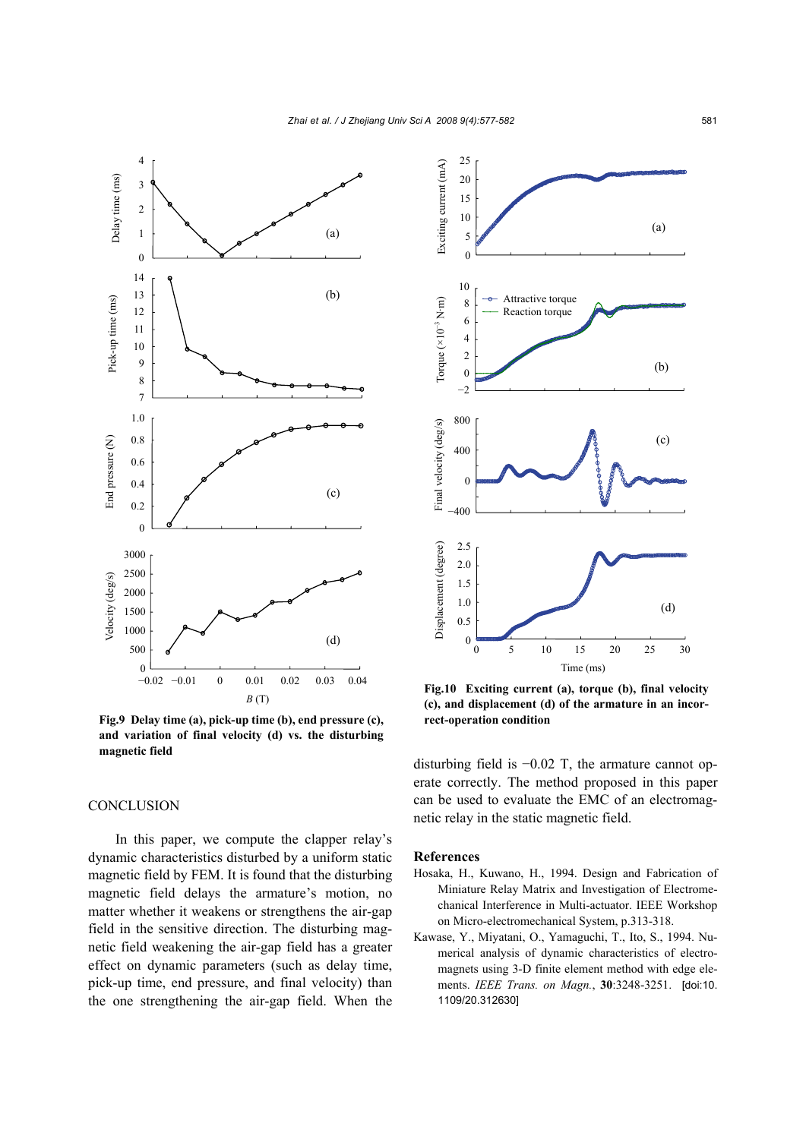*Zhai et al. / J Zhejiang Univ Sci A 2008 9(4):577-582* 581





**Fig.10 Exciting current (a), torque (b), final velocity (c), and displacement (d) of the armature in an incorrect-operation condition**

disturbing field is −0.02 T, the armature cannot operate correctly. The method proposed in this paper can be used to evaluate the EMC of an electromagnetic relay in the static magnetic field.

#### **References**

- Hosaka, H., Kuwano, H., 1994. Design and Fabrication of Miniature Relay Matrix and Investigation of Electromechanical Interference in Multi-actuator. IEEE Workshop on Micro-electromechanical System, p.313-318.
- Kawase, Y., Miyatani, O., Yamaguchi, T., Ito, S., 1994. Numerical analysis of dynamic characteristics of electromagnets using 3-D finite element method with edge elements. *IEEE Trans. on Magn.*, **30**:3248-3251. [doi:10. 1109/20.312630]

### **CONCLUSION**

**magnetic field**

In this paper, we compute the clapper relay's dynamic characteristics disturbed by a uniform static magnetic field by FEM. It is found that the disturbing magnetic field delays the armature's motion, no matter whether it weakens or strengthens the air-gap field in the sensitive direction. The disturbing magnetic field weakening the air-gap field has a greater effect on dynamic parameters (such as delay time, pick-up time, end pressure, and final velocity) than the one strengthening the air-gap field. When the

**and variation of final velocity (d) vs. the disturbing**